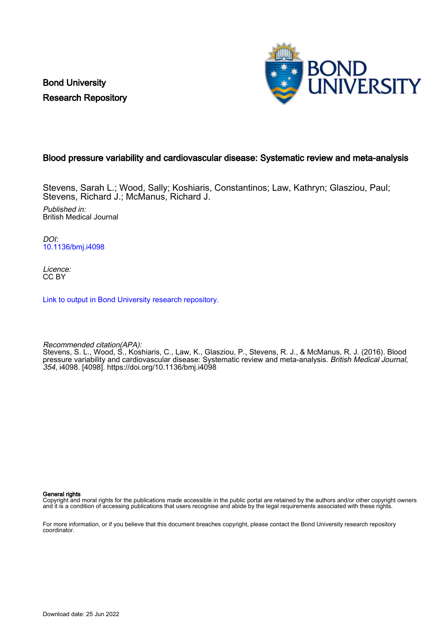Bond University Research Repository



# Blood pressure variability and cardiovascular disease: Systematic review and meta-analysis

Stevens, Sarah L.; Wood, Sally; Koshiaris, Constantinos; Law, Kathryn; Glasziou, Paul; Stevens, Richard J.; McManus, Richard J.

Published in: British Medical Journal

DOI: [10.1136/bmj.i4098](https://doi.org/10.1136/bmj.i4098)

Licence: CC BY

[Link to output in Bond University research repository.](https://research.bond.edu.au/en/publications/d52463f6-a15e-4e9a-be32-b38a892b01b5)

Recommended citation(APA):

Stevens, S. L., Wood, S., Koshiaris, C., Law, K., Glasziou, P., Stevens, R. J., & McManus, R. J. (2016). Blood pressure variability and cardiovascular disease: Systematic review and meta-analysis. *British Medical Journal*, 354, i4098. [4098]. <https://doi.org/10.1136/bmj.i4098>

General rights

Copyright and moral rights for the publications made accessible in the public portal are retained by the authors and/or other copyright owners and it is a condition of accessing publications that users recognise and abide by the legal requirements associated with these rights.

For more information, or if you believe that this document breaches copyright, please contact the Bond University research repository coordinator.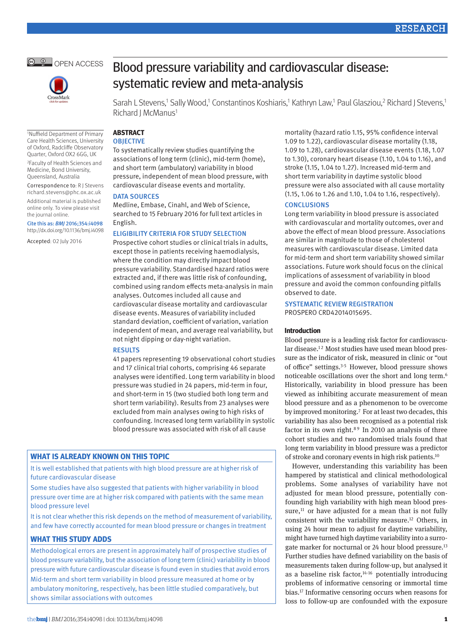



1Nuffield Department of Primary Care Health Sciences, University of Oxford, Radcliffe Observatory Quarter, Oxford OX2 6GG, UK

2Faculty of Health Sciences and Medicine, Bond University, Queensland, Australia

Correspondence to: R J Stevens richard.stevens@phc.ox.ac.uk Additional material is published online only. To view please visit the journal online.

Cite this as: *BMJ* 2016;354:i4098 http://dx.doi.org/10.1136/bmj.i4098

Accepted: 02 July 2016

# Blood pressure variability and cardiovascular disease: systematic review and meta-analysis

Sarah L Stevens,<sup>1</sup> Sally Wood,<sup>1</sup> Constantinos Koshiaris,<sup>1</sup> Kathryn Law,<sup>1</sup> Paul Glasziou,<sup>2</sup> Richard J Stevens,<sup>1</sup> Richard J McManus<sup>1</sup>

# **ABSTRACT**

# **OBJECTIVE**

To systematically review studies quantifying the associations of long term (clinic), mid-term (home), and short term (ambulatory) variability in blood pressure, independent of mean blood pressure, with cardiovascular disease events and mortality.

# DATA SOURCES

Medline, Embase, Cinahl, and Web of Science, searched to 15 February 2016 for full text articles in English.

#### Eligibility criteria for study selection

Prospective cohort studies or clinical trials in adults, except those in patients receiving haemodialysis, where the condition may directly impact blood pressure variability. Standardised hazard ratios were extracted and, if there was little risk of confounding, combined using random effects meta-analysis in main analyses. Outcomes included all cause and cardiovascular disease mortality and cardiovascular disease events. Measures of variability included standard deviation, coefficient of variation, variation independent of mean, and average real variability, but not night dipping or day-night variation.

#### **RESULTS**

41 papers representing 19 observational cohort studies and 17 clinical trial cohorts, comprising 46 separate analyses were identified. Long term variability in blood pressure was studied in 24 papers, mid-term in four, and short-term in 15 (two studied both long term and short term variability). Results from 23 analyses were excluded from main analyses owing to high risks of confounding. Increased long term variability in systolic blood pressure was associated with risk of all cause

# **What is already known on this topic**

It is well established that patients with high blood pressure are at higher risk of future cardiovascular disease

Some studies have also suggested that patients with higher variability in blood pressure over time are at higher risk compared with patients with the same mean blood pressure level

It is not clear whether this risk depends on the method of measurement of variability, and few have correctly accounted for mean blood pressure or changes in treatment

# **What this study adds**

Methodological errors are present in approximately half of prospective studies of blood pressure variability, but the association of long term (clinic) variability in blood pressure with future cardiovascular disease is found even in studies that avoid errors Mid-term and short term variability in blood pressure measured at home or by ambulatory monitoring, respectively, has been little studied comparatively, but shows similar associations with outcomes

mortality (hazard ratio 1.15, 95% confidence interval 1.09 to 1.22), cardiovascular disease mortality (1.18, 1.09 to 1.28), cardiovascular disease events (1.18, 1.07 to 1.30), coronary heart disease (1.10, 1.04 to 1.16), and stroke (1.15, 1.04 to 1.27). Increased mid-term and short term variability in daytime systolic blood pressure were also associated with all cause mortality (1.15, 1.06 to 1.26 and 1.10, 1.04 to 1.16, respectively).

# **CONCLUSIONS**

Long term variability in blood pressure is associated with cardiovascular and mortality outcomes, over and above the effect of mean blood pressure. Associations are similar in magnitude to those of cholesterol measures with cardiovascular disease. Limited data for mid-term and short term variability showed similar associations. Future work should focus on the clinical implications of assessment of variability in blood pressure and avoid the common confounding pitfalls observed to date.

Systematic review registration PROSPERO CRD42014015695.

# **Introduction**

Blood pressure is a leading risk factor for cardiovascular disease.<sup>12</sup> Most studies have used mean blood pressure as the indicator of risk, measured in clinic or "out of office" settings.3-5 However, blood pressure shows noticeable oscillations over the short and long term.6 Historically, variability in blood pressure has been viewed as inhibiting accurate measurement of mean blood pressure and as a phenomenon to be overcome by improved monitoring.7 For at least two decades, this variability has also been recognised as a potential risk factor in its own right. $89$  In 2010 an analysis of three cohort studies and two randomised trials found that long term variability in blood pressure was a predictor of stroke and coronary events in high risk patients.10

However, understanding this variability has been hampered by statistical and clinical methodological problems. Some analyses of variability have not adjusted for mean blood pressure, potentially confounding high variability with high mean blood pressure, $11$  or have adjusted for a mean that is not fully consistent with the variability measure.12 Others, in using 24 hour mean to adjust for daytime variability, might have turned high daytime variability into a surrogate marker for nocturnal or 24 hour blood pressure.13 Further studies have defined variability on the basis of measurements taken during follow-up, but analysed it as a baseline risk factor, $14-16$  potentially introducing problems of informative censoring or immortal time bias.17 Informative censoring occurs when reasons for loss to follow-up are confounded with the exposure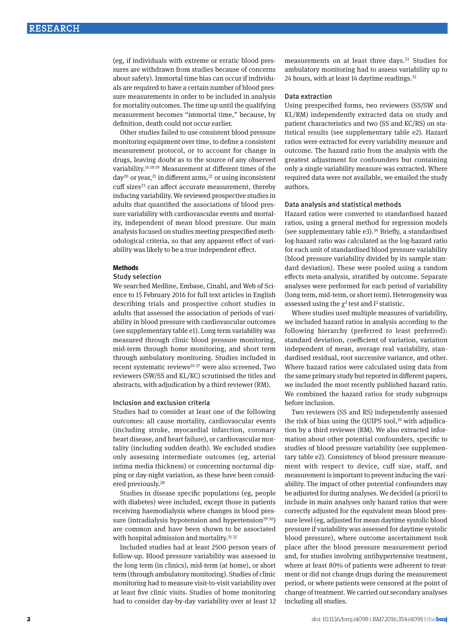(eg, if individuals with extreme or erratic blood pressures are withdrawn from studies because of concerns about safety). Immortal time bias can occur if individuals are required to have a certain number of blood pressure measurements in order to be included in analysis for mortality outcomes. The time up until the qualifying measurement becomes "immortal time," because, by definition, death could not occur earlier.

Other studies failed to use consistent blood pressure monitoring equipment over time, to define a consistent measurement protocol, or to account for change in drugs, leaving doubt as to the source of any observed variability.14 <sup>18</sup> 19 Measurement at different times of the day<sup>20</sup> or year,<sup>21</sup> in different arms,<sup>22</sup> or using inconsistent cuff sizes<sup>23</sup> can affect accurate measurement, thereby inducing variability. We reviewed prospective studies in adults that quantified the associations of blood pressure variability with cardiovascular events and mortality, independent of mean blood pressure. Our main analysis focused on studies meeting prespecified methodological criteria, so that any apparent effect of variability was likely to be a true independent effect.

#### **Methods**

#### Study selection

We searched Medline, Embase, Cinahl, and Web of Science to 15 February 2016 for full text articles in English describing trials and prospective cohort studies in adults that assessed the association of periods of variability in blood pressure with cardiovascular outcomes (see supplementary table e1). Long term variability was measured through clinic blood pressure monitoring, mid-term through home monitoring, and short term through ambulatory monitoring. Studies included in recent systematic reviews<sup>24-27</sup> were also screened. Two reviewers (SW/SS and KL/KC) scrutinised the titles and abstracts, with adjudication by a third reviewer (RM).

# Inclusion and exclusion criteria

Studies had to consider at least one of the following outcomes: all cause mortality, cardiovascular events (including stroke, myocardial infarction, coronary heart disease, and heart failure), or cardiovascular mortality (including sudden death). We excluded studies only assessing intermediate outcomes (eg, arterial intima media thickness) or concerning nocturnal dipping or day-night variation, as these have been considered previously.<sup>28</sup>

Studies in disease specific populations (eg, people with diabetes) were included, except those in patients receiving haemodialysis where changes in blood pressure (intradialysis hypotension and hypertension<sup>2930</sup>) are common and have been shown to be associated with hospital admission and mortality.<sup>31 32</sup>

Included studies had at least 2500 person years of follow-up. Blood pressure variability was assessed in the long term (in clinics), mid-term (at home), or short term (through ambulatory monitoring). Studies of clinic monitoring had to measure visit-to-visit variability over at least five clinic visits. Studies of home monitoring had to consider day-by-day variability over at least 12 measurements on at least three days.<sup>33</sup> Studies for ambulatory monitoring had to assess variability up to 24 hours, with at least 14 daytime readings.<sup>33</sup>

#### Data extraction

Using prespecified forms, two reviewers (SS/SW and KL/RM) independently extracted data on study and patient characteristics and two (SS and KC/RS) on statistical results (see supplementary table e2). Hazard ratios were extracted for every variability measure and outcome. The hazard ratio from the analysis with the greatest adjustment for confounders but containing only a single variability measure was extracted. Where required data were not available, we emailed the study authors.

# Data analysis and statistical methods

Hazard ratios were converted to standardised hazard ratios, using a general method for regression models (see supplementary table e3).34 Briefly, a standardised log-hazard ratio was calculated as the log-hazard ratio for each unit of standardised blood pressure variability (blood pressure variability divided by its sample standard deviation). These were pooled using a random effects meta-analysis, stratified by outcome. Separate analyses were performed for each period of variability (long term, mid-term, or short term). Heterogeneity was assessed using the  $\chi^2$  test and I<sup>2</sup> statistic.

Where studies used multiple measures of variability, we included hazard ratios in analysis according to the following hierarchy (preferred to least preferred): standard deviation, coefficient of variation, variation independent of mean, average real variability, standardised residual, root successive variance, and other. Where hazard ratios were calculated using data from the same primary study but reported in different papers, we included the most recently published hazard ratio. We combined the hazard ratios for study subgroups before inclusion.

Two reviewers (SS and RS) independently assessed the risk of bias using the QUIPS tool, $35$  with adjudication by a third reviewer (RM). We also extracted information about other potential confounders, specific to studies of blood pressure variability (see supplementary table e2). Consistency of blood pressure measurement with respect to device, cuff size, staff, and measurement is important to prevent inducing the variability. The impact of other potential confounders may be adjusted for during analyses. We decided (a priori) to include in main analyses only hazard ratios that were correctly adjusted for the equivalent mean blood pressure level (eg, adjusted for mean daytime systolic blood pressure if variability was assessed for daytime systolic blood pressure), where outcome ascertainment took place after the blood pressure measurement period and, for studies involving antihypertensive treatment, where at least 80% of patients were adherent to treatment or did not change drugs during the measurement period, or where patients were censored at the point of change of treatment. We carried out secondary analyses including all studies.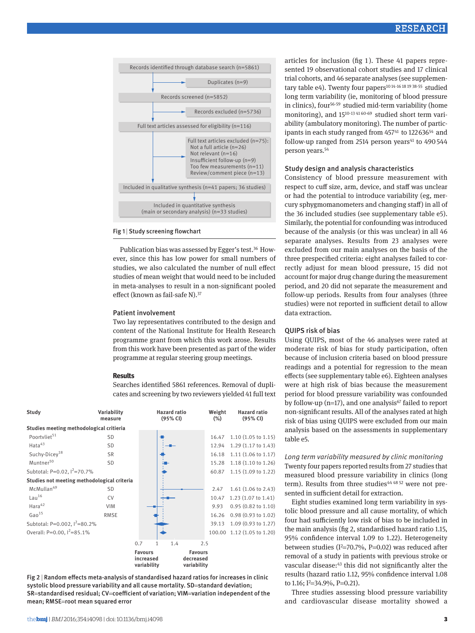

#### Fig 1 | Study screening flowchart

Publication bias was assessed by Egger's test.<sup>36</sup> However, since this has low power for small numbers of studies, we also calculated the number of null effect studies of mean weight that would need to be included in meta-analyses to result in a non-significant pooled effect (known as fail-safe N).<sup>37</sup>

#### Patient involvement

Two lay representatives contributed to the design and content of the National Institute for Health Research programme grant from which this work arose. Results from this work have been presented as part of the wider programme at regular steering group meetings.

#### **Results**

Searches identified 5861 references. Removal of duplicates and screening by two reviewers yielded 41 full text

| Study                                       | Variability<br>measure |                                            | <b>Hazard ratio</b><br>(95% CI) |                                            | Weight<br>$(\%)$ | <b>Hazard ratio</b><br>(95% CI) |
|---------------------------------------------|------------------------|--------------------------------------------|---------------------------------|--------------------------------------------|------------------|---------------------------------|
| Studies meeting methodological critieria    |                        |                                            |                                 |                                            |                  |                                 |
| Poortvliet <sup>51</sup>                    | <b>SD</b>              |                                            |                                 |                                            | 16.47            | 1.10(1.05 to 1.15)              |
| Hata <sup>43</sup>                          | <b>SD</b>              |                                            |                                 |                                            |                  | 12.94 1.29 (1.17 to 1.43)       |
| Suchy-Dicey <sup>18</sup>                   | <b>SR</b>              |                                            |                                 |                                            |                  | 16.18 1.11 (1.06 to 1.17)       |
| Muntner <sup>50</sup>                       | SD                     |                                            |                                 |                                            |                  | 15.28 1.18 (1.10 to 1.26)       |
| Subtotal: P=0.02, $1^2$ =70.7%              |                        |                                            |                                 |                                            |                  | 60.87 1.15 (1.09 to 1.22)       |
| Studies not meeting methodological criteria |                        |                                            |                                 |                                            |                  |                                 |
| McMullan <sup>49</sup>                      | <b>SD</b>              |                                            |                                 |                                            | 2.47             | 1.61 (1.06 to 2.43)             |
| Lau <sup>16</sup>                           | <b>CV</b>              |                                            |                                 |                                            | 10.47            | 1.23 (1.07 to 1.41)             |
| Hara <sup>42</sup>                          | VIM                    |                                            |                                 |                                            |                  | 9.93 0.95 (0.82 to 1.10)        |
| Gao <sup>15</sup>                           | <b>RMSE</b>            |                                            |                                 |                                            | 16.26            | 0.98 (0.93 to 1.02)             |
| Subtotal: P=0.002, $1^2$ =80.2%             |                        |                                            |                                 |                                            |                  | 39.13 1.09 (0.93 to 1.27)       |
| Overall: P=0.00, $1^2$ =85.1%               |                        |                                            |                                 |                                            |                  | 100.00 1.12 (1.05 to 1.20)      |
|                                             |                        | 0.7                                        | 1<br>1.4                        | 2.5                                        |                  |                                 |
|                                             |                        | <b>Favours</b><br>increased<br>variability |                                 | <b>Favours</b><br>decreased<br>variability |                  |                                 |

Fig 2 | Random effects meta-analysis of standardised hazard ratios for increases in clinic systolic blood pressure variability and all cause mortality. SD=standard deviation; SR=standardised residual; CV=coefficient of variation; VIM=variation independent of the mean; RMSE=root mean squared error

articles for inclusion (fig 1). These 41 papers represented 19 observational cohort studies and 17 clinical trial cohorts, and 46 separate analyses (see supplementary table e4). Twenty four papers<sup>10 14-16 18 19 38-55</sup> studied long term variability (ie, monitoring of blood pressure in clinics), four<sup>56-59</sup> studied mid-term variability (home monitoring), and 15<sup>10-13 41 60-69</sup> studied short term variability (ambulatory monitoring). The number of participants in each study ranged from  $457^{41}$  to  $122636^{54}$  and follow-up ranged from 2514 person years $41$  to 490544 person years.54

#### Study design and analysis characteristics

Consistency of blood pressure measurement with respect to cuff size, arm, device, and staff was unclear or had the potential to introduce variability (eg, mercury sphygmomanometers and changing staff) in all of the 36 included studies (see supplementary table e5). Similarly, the potential for confounding was introduced because of the analysis (or this was unclear) in all 46 separate analyses. Results from 23 analyses were excluded from our main analyses on the basis of the three prespecified criteria: eight analyses failed to correctly adjust for mean blood pressure, 15 did not account for major drug change during the measurement period, and 20 did not separate the measurement and follow-up periods. Results from four analyses (three studies) were not reported in sufficient detail to allow data extraction.

# QUIPS risk of bias

Using QUIPS, most of the 46 analyses were rated at moderate risk of bias for study participation, often because of inclusion criteria based on blood pressure readings and a potential for regression to the mean effects (see supplementary table e6). Eighteen analyses were at high risk of bias because the measurement period for blood pressure variability was confounded by follow-up ( $n=17$ ), and one analysis<sup>67</sup> failed to report non-significant results. All of the analyses rated at high risk of bias using QUIPS were excluded from our main analysis based on the assessments in supplementary table e5.

*Long term variability measured by clinic monitoring* Twenty four papers reported results from 27 studies that measured blood pressure variability in clinics (long term). Results from three studies<sup>44 48 52</sup> were not presented in sufficient detail for extraction.

Eight studies examined long term variability in systolic blood pressure and all cause mortality, of which four had sufficiently low risk of bias to be included in the main analysis (fig 2, standardised hazard ratio 1.15, 95% confidence interval 1.09 to 1.22). Heterogeneity between studies ( $I^2 = 70.7\%$ , P=0.02) was reduced after removal of a study in patients with previous stroke or vascular disease:<sup>43</sup> this did not significantly alter the results (hazard ratio 1.12, 95% confidence interval 1.08 to 1.16; I<sup>2</sup>=34.9%, P=0.21).

Three studies assessing blood pressure variability and cardiovascular disease mortality showed a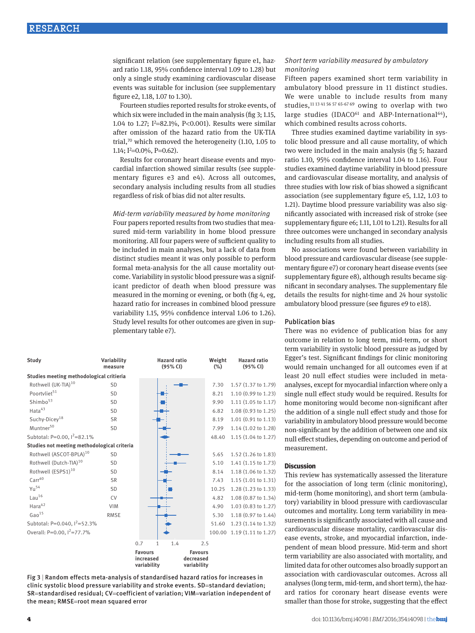significant relation (see supplementary figure e1, hazard ratio 1.18, 95% confidence interval 1.09 to 1.28) but only a single study examining cardiovascular disease events was suitable for inclusion (see supplementary figure e2, 1.18, 1.07 to 1.30).

Fourteen studies reported results for stroke events, of which six were included in the main analysis (fig 3; 1.15, 1.04 to 1.27;  $I^2=82.1\%$ , P<0.001). Results were similar after omission of the hazard ratio from the UK-TIA trial,<sup>70</sup> which removed the heterogeneity  $(1.10, 1.05)$  to  $1.14; I<sup>2</sup>=0.0\%, P=0.62$ .

Results for coronary heart disease events and myocardial infarction showed similar results (see supplementary figures e3 and e4). Across all outcomes, secondary analysis including results from all studies regardless of risk of bias did not alter results.

## *Mid-term variability measured by home monitoring*

Four papers reported results from two studies that measured mid-term variability in home blood pressure monitoring. All four papers were of sufficient quality to be included in main analyses, but a lack of data from distinct studies meant it was only possible to perform formal meta-analysis for the all cause mortality outcome. Variability in systolic blood pressure was a significant predictor of death when blood pressure was measured in the morning or evening, or both (fig 4, eg, hazard ratio for increases in combined blood pressure variability 1.15, 95% confidence interval 1.06 to 1.26). Study level results for other outcomes are given in supplementary table e7).

| Study                                       | Variability<br>measure |                                            | <b>Hazard ratio</b><br>(95% CI) |                                            | Weight<br>(%) | <b>Hazard ratio</b><br>(95% CI) |
|---------------------------------------------|------------------------|--------------------------------------------|---------------------------------|--------------------------------------------|---------------|---------------------------------|
| Studies meeting methodological critieria    |                        |                                            |                                 |                                            |               |                                 |
| Rothwell (UK-TIA) <sup>10</sup>             | SD                     |                                            |                                 |                                            | 7.30          | 1.57 (1.37 to 1.79)             |
| Poortvliet <sup>51</sup>                    | <b>SD</b>              |                                            |                                 |                                            | 8.21          | 1.10 (0.99 to 1.23)             |
| Shimbo $53$                                 | SD                     |                                            |                                 |                                            | 9.90          | 1.11 (1.05 to 1.17)             |
| Hata <sup>43</sup>                          | SD                     |                                            |                                 |                                            | 6.82          | 1.08 (0.93 to 1.25)             |
| Suchy-Dicey <sup>18</sup>                   | <b>SR</b>              |                                            |                                 |                                            | 8.19          | $1.01(0.91 \text{ to } 1.13)$   |
| Muntner <sup>50</sup>                       | <b>SD</b>              |                                            |                                 |                                            | 7.99          | 1.14 (1.02 to 1.28)             |
| Subtotal: P=0.00, $1^2$ =82.1%              |                        |                                            |                                 |                                            | 48.40         | 1.15 (1.04 to 1.27)             |
| Studies not meeting methodological criteria |                        |                                            |                                 |                                            |               |                                 |
| Rothwell (ASCOT-BPLA) <sup>10</sup>         | <b>SD</b>              |                                            |                                 |                                            | 5.65          | 1.52 (1.26 to 1.83)             |
| Rothwell (Dutch-TIA) <sup>10</sup>          | SD                     |                                            |                                 |                                            | 5.10          | 1.41 (1.15 to 1.73)             |
| Rothwell (ESPS1) <sup>10</sup>              | <b>SD</b>              |                                            |                                 |                                            | 8.14          | 1.18 (1.06 to 1.32)             |
| Carr <sup>40</sup>                          | <b>SR</b>              |                                            |                                 |                                            | 7.43          | 1.15 (1.01 to 1.31)             |
| $Yu^{54}$                                   | SD                     |                                            |                                 |                                            | 10.25         | 1.28 (1.23 to 1.33)             |
| $Lau^{16}$                                  | <b>CV</b>              |                                            |                                 |                                            | 4.82          | 1.08 (0.87 to 1.34)             |
| Hara <sup>42</sup>                          | <b>VIM</b>             |                                            |                                 |                                            | 4.90          | 1.03 (0.83 to 1.27)             |
| Gao <sup>15</sup>                           | <b>RMSE</b>            |                                            |                                 |                                            | 5.30          | 1.18 (0.97 to 1.44)             |
| Subtotal: P=0.040, $1^2$ =52.3%             |                        |                                            |                                 |                                            | 51.60         | $1.23(1.14 \text{ to } 1.32)$   |
| Overall: P=0.00, $1^2$ =77.7%               |                        |                                            |                                 |                                            | 100.00        | 1.19 (1.11 to 1.27)             |
|                                             |                        | 0.7<br>$\mathbf{1}$                        | 1.4                             | 2.5                                        |               |                                 |
|                                             |                        | <b>Favours</b><br>increased<br>variability |                                 | <b>Favours</b><br>decreased<br>variability |               |                                 |

#### Fig 3 | Random effects meta-analysis of standardised hazard ratios for increases in clinic systolic blood pressure variability and stroke events. SD=standard deviation; SR=standardised residual; CV=coefficient of variation; VIM=variation independent of the mean; RMSE=root mean squared error

# *Short term variability measured by ambulatory monitoring*

Fifteen papers examined short term variability in ambulatory blood pressure in 11 distinct studies. We were unable to include results from many studies,<sup>11 13 41 56 57 65-67 69</sup> owing to overlap with two large studies (IDACO $61$  and ABP-International $64$ ), which combined results across cohorts.

Three studies examined daytime variability in systolic blood pressure and all cause mortality, of which two were included in the main analysis (fig 5; hazard ratio 1.10, 95% confidence interval 1.04 to 1.16). Four studies examined daytime variability in blood pressure and cardiovascular disease mortality, and analysis of three studies with low risk of bias showed a significant association (see supplementary figure e5, 1.12, 1.03 to 1.21). Daytime blood pressure variability was also significantly associated with increased risk of stroke (see supplementary figure e6; 1.11, 1.01 to 1.21). Results for all three outcomes were unchanged in secondary analysis including results from all studies.

No associations were found between variability in blood pressure and cardiovascular disease (see supplementary figure e7) or coronary heart disease events (see supplementary figure e8), although results became significant in secondary analyses. The supplementary file details the results for night-time and 24 hour systolic ambulatory blood pressure (see figures e9 to e18).

# Publication bias

There was no evidence of publication bias for any outcome in relation to long term, mid-term, or short term variability in systolic blood pressure as judged by Egger's test. Significant findings for clinic monitoring would remain unchanged for all outcomes even if at least 20 null effect studies were included in metaanalyses, except for myocardial infarction where only a single null effect study would be required. Results for home monitoring would become non-significant after the addition of a single null effect study and those for variability in ambulatory blood pressure would become non-significant by the addition of between one and six null effect studies, depending on outcome and period of measurement.

#### **Discussion**

This review has systematically assessed the literature for the association of long term (clinic monitoring), mid-term (home monitoring), and short term (ambulatory) variability in blood pressure with cardiovascular outcomes and mortality. Long term variability in measurements is significantly associated with all cause and cardiovascular disease mortality, cardiovascular disease events, stroke, and myocardial infarction, independent of mean blood pressure. Mid-term and short term variability are also associated with mortality, and limited data for other outcomes also broadly support an association with cardiovascular outcomes. Across all analyses (long term, mid-term, and short term), the hazard ratios for coronary heart disease events were smaller than those for stroke, suggesting that the effect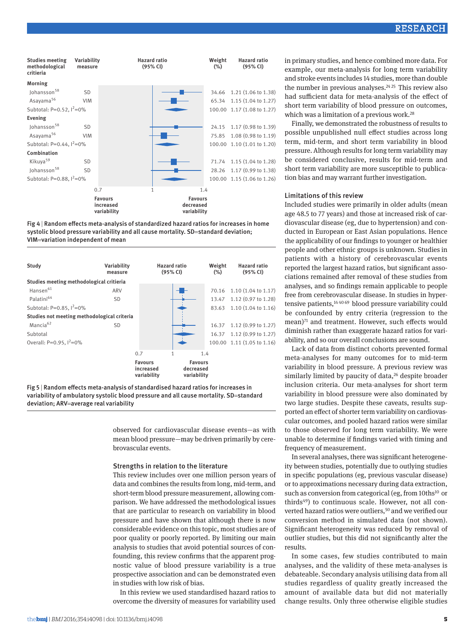| <b>Studies meeting</b><br>methodological<br>critieria | Variability<br>measure | (95% CI)                                   | <b>Hazard ratio</b>                        | Weight<br>$(\%)$ | <b>Hazard ratio</b><br>(95% CI) |
|-------------------------------------------------------|------------------------|--------------------------------------------|--------------------------------------------|------------------|---------------------------------|
| Morning                                               |                        |                                            |                                            |                  |                                 |
| Johansson <sup>58</sup>                               | <b>SD</b>              |                                            |                                            |                  | 34.66 1.21 (1.06 to 1.38)       |
| Asayama <sup>56</sup>                                 | VIM                    |                                            |                                            |                  | 65.34 1.15 (1.04 to 1.27)       |
| Subtotal: P=0.52, $1^2$ =0%                           |                        |                                            |                                            |                  | 100.00 1.17 (1.08 to 1.27)      |
| Evening                                               |                        |                                            |                                            |                  |                                 |
| Johansson <sup>58</sup>                               | <b>SD</b>              |                                            |                                            |                  | 24.15 1.17 (0.98 to 1.39)       |
| Asayama <sup>56</sup>                                 | VIM                    |                                            |                                            |                  | 75.85 1.08 (0.98 to 1.19)       |
| Subtotal: P=0.44, $1^2$ =0%                           |                        |                                            |                                            |                  | 100.00 1.10 (1.01 to 1.20)      |
| Combination                                           |                        |                                            |                                            |                  |                                 |
| Kikuya <sup>59</sup>                                  | <b>SD</b>              |                                            |                                            |                  | 71.74 1.15 (1.04 to 1.28)       |
| Johansson <sup>58</sup>                               | SD                     |                                            |                                            |                  | 28.26 1.17 (0.99 to 1.38)       |
| Subtotal: P=0.88, $1^2$ =0%                           |                        |                                            |                                            |                  | 100.00 1.15 (1.06 to 1.26)      |
|                                                       | 0.7                    | 1                                          | 1.4                                        |                  |                                 |
|                                                       |                        | <b>Favours</b><br>increased<br>variability | <b>Favours</b><br>decreased<br>variability |                  |                                 |

Fig 4 | Random effects meta-analysis of standardized hazard ratios for increases in home systolic blood pressure variability and all cause mortality. SD=standard deviation; VIM=variation independent of mean

| Study                                       | Variability<br>measure |                                            | <b>Hazard ratio</b><br>(95% CI)            | Weight<br>(%) | <b>Hazard ratio</b><br>(95% CI) |
|---------------------------------------------|------------------------|--------------------------------------------|--------------------------------------------|---------------|---------------------------------|
| Studies meeting methodological critieria    |                        |                                            |                                            |               |                                 |
| Hansen <sup>61</sup>                        | ARV                    |                                            |                                            |               | 70.16 1.10 (1.04 to 1.17)       |
| Palatini <sup>64</sup>                      | <b>SD</b>              |                                            |                                            |               | 13.47 1.12 (0.97 to 1.28)       |
| Subtotal: P=0.85, $1^2$ =0%                 |                        |                                            |                                            |               | 83.63 1.10 (1.04 to 1.16)       |
| Studies not meeting methodological criteria |                        |                                            |                                            |               |                                 |
| Mancia <sup>62</sup>                        | SD.                    |                                            |                                            |               | 16.37 1.12 (0.99 to 1.27)       |
| Subtotal                                    |                        |                                            |                                            |               | 16.37 1.12 (0.99 to 1.27)       |
| Overall: $P=0.95$ , $1^2=0\%$               |                        |                                            |                                            |               | 100.00 1.11 (1.05 to 1.16)      |
|                                             |                        | 0.7                                        | 1<br>1.4                                   |               |                                 |
|                                             |                        | <b>Favours</b><br>increased<br>variability | <b>Favours</b><br>decreased<br>variability |               |                                 |

Fig 5 | Random effects meta-analysis of standardised hazard ratios for increases in variability of ambulatory systolic blood pressure and all cause mortality. SD=standard deviation; ARV=average real variability

> observed for cardiovascular disease events—as with mean blood pressure—may be driven primarily by cerebrovascular events.

# Strengths in relation to the literature

This review includes over one million person years of data and combines the results from long, mid-term, and short-term blood pressure measurement, allowing comparison. We have addressed the methodological issues that are particular to research on variability in blood pressure and have shown that although there is now considerable evidence on this topic, most studies are of poor quality or poorly reported. By limiting our main analysis to studies that avoid potential sources of confounding, this review confirms that the apparent prognostic value of blood pressure variability is a true prospective association and can be demonstrated even in studies with low risk of bias.

In this review we used standardised hazard ratios to overcome the diversity of measures for variability used in primary studies, and hence combined more data. For example, our meta-analysis for long term variability and stroke events includes 14 studies, more than double the number in previous analyses. $24 25$  This review also had sufficient data for meta-analysis of the effect of short term variability of blood pressure on outcomes, which was a limitation of a previous work.<sup>28</sup>

Finally, we demonstrated the robustness of results to possible unpublished null effect studies across long term, mid-term, and short term variability in blood pressure. Although results for long term variability may be considered conclusive, results for mid-term and short term variability are more susceptible to publication bias and may warrant further investigation.

#### Limitations of this review

Included studies were primarily in older adults (mean age 48.5 to 77 years) and those at increased risk of cardiovascular disease (eg, due to hypertension) and conducted in European or East Asian populations. Hence the applicability of our findings to younger or healthier people and other ethnic groups is unknown. Studies in patients with a history of cerebrovascular events reported the largest hazard ratios, but significant associations remained after removal of these studies from analyses, and so findings remain applicable to people free from cerebrovascular disease. In studies in hypertensive patients,14 <sup>40</sup> 69 blood pressure variability could be confounded by entry criteria (regression to the mean)<sup>71</sup> and treatment. However, such effects would diminish rather than exaggerate hazard ratios for variability, and so our overall conclusions are sound.

Lack of data from distinct cohorts prevented formal meta-analyses for many outcomes for to mid-term variability in blood pressure. A previous review was similarly limited by paucity of data,<sup>26</sup> despite broader inclusion criteria. Our meta-analyses for short term variability in blood pressure were also dominated by two large studies. Despite these caveats, results supported an effect of shorter term variability on cardiovascular outcomes, and pooled hazard ratios were similar to those observed for long term variability. We were unable to determine if findings varied with timing and frequency of measurement.

In several analyses, there was significant heterogeneity between studies, potentially due to outlying studies in specific populations (eg, previous vascular disease) or to approximations necessary during data extraction, such as conversion from categorical (eg, from 10ths<sup>10</sup> or thirds49) to continuous scale. However, not all converted hazard ratios were outliers,<sup>50</sup> and we verified our conversion method in simulated data (not shown). Significant heterogeneity was reduced by removal of outlier studies, but this did not significantly alter the results.

In some cases, few studies contributed to main analyses, and the validity of these meta-analyses is debateable. Secondary analysis utilising data from all studies regardless of quality greatly increased the amount of available data but did not materially change results. Only three otherwise eligible studies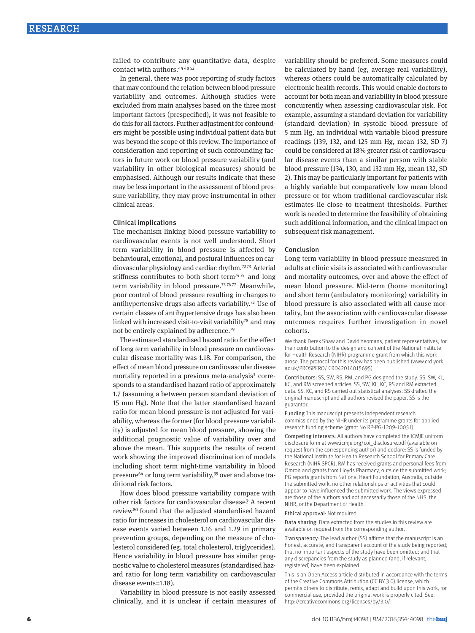failed to contribute any quantitative data, despite contact with authors.44 <sup>48</sup> <sup>52</sup>

In general, there was poor reporting of study factors that may confound the relation between blood pressure variability and outcomes. Although studies were excluded from main analyses based on the three most important factors (prespecified), it was not feasible to do this for all factors. Further adjustment for confounders might be possible using individual patient data but was beyond the scope of this review. The importance of consideration and reporting of such confounding factors in future work on blood pressure variability (and variability in other biological measures) should be emphasised. Although our results indicate that these may be less important in the assessment of blood pressure variability, they may prove instrumental in other clinical areas.

#### Clinical implications

The mechanism linking blood pressure variability to cardiovascular events is not well understood. Short term variability in blood pressure is affected by behavioural, emotional, and postural influences on cardiovascular physiology and cardiac rhythm.<sup>7273</sup> Arterial stiffness contributes to both short term $74.75$  and long term variability in blood pressure.<sup>737677</sup> Meanwhile, poor control of blood pressure resulting in changes to antihypertensive drugs also affects variability.72 Use of certain classes of antihypertensive drugs has also been linked with increased visit-to-visit variability $78$  and may not be entirely explained by adherence.79

The estimated standardised hazard ratio for the effect of long term variability in blood pressure on cardiovascular disease mortality was 1.18. For comparison, the effect of mean blood pressure on cardiovascular disease mortality reported in a previous meta-analysis<sup>3</sup> corresponds to a standardised hazard ratio of approximately 1.7 (assuming a between person standard deviation of 15 mm Hg). Note that the latter standardised hazard ratio for mean blood pressure is not adjusted for variability, whereas the former (for blood pressure variability) is adjusted for mean blood pressure, showing the additional prognostic value of variability over and above the mean. This supports the results of recent work showing the improved discrimination of models including short term night-time variability in blood pressure<sup>64</sup> or long term variability,<sup>39</sup> over and above traditional risk factors.

How does blood pressure variability compare with other risk factors for cardiovascular disease? A recent review80 found that the adjusted standardised hazard ratio for increases in cholesterol on cardiovascular disease events varied between 1.16 and 1.29 in primary prevention groups, depending on the measure of cholesterol considered (eg, total cholesterol, triglycerides). Hence variability in blood pressure has similar prognostic value to cholesterol measures (standardised hazard ratio for long term variability on cardiovascular disease events=1.18).

Variability in blood pressure is not easily assessed clinically, and it is unclear if certain measures of variability should be preferred. Some measures could be calculated by hand (eg, average real variability), whereas others could be automatically calculated by electronic health records. This would enable doctors to account for both mean and variability in blood pressure concurrently when assessing cardiovascular risk. For example, assuming a standard deviation for variability (standard deviation) in systolic blood pressure of 5 mm Hg, an individual with variable blood pressure readings (139, 132, and 125 mm Hg, mean 132, SD 7) could be considered at 18% greater risk of cardiovascular disease events than a similar person with stable blood pressure (134, 130, and 132 mm Hg, mean 132, SD 2). This may be particularly important for patients with a highly variable but comparatively low mean blood pressure or for whom traditional cardiovascular risk estimates lie close to treatment thresholds. Further work is needed to determine the feasibility of obtaining such additional information, and the clinical impact on subsequent risk management.

#### Conclusion

Long term variability in blood pressure measured in adults at clinic visits is associated with cardiovascular and mortality outcomes, over and above the effect of mean blood pressure. Mid-term (home monitoring) and short term (ambulatory monitoring) variability in blood pressure is also associated with all cause mortality, but the association with cardiovascular disease outcomes requires further investigation in novel cohorts.

We thank Derek Shaw and David Yeomans, patient representatives, for their contribution to the design and content of the National Institute for Health Research (NIHR) programme grant from which this work arose. The protocol for this review has been published (www.crd.york. ac.uk/PROSPERO/ CRD42014015695).

Contributors: SS, SW, RS, RM, and PG designed the study. SS, SW, KL, KC, and RM screened articles. SS, SW, KL, KC, RS and RM extracted data. SS, KC, and RS carried out statistical analyses. SS drafted the original manuscript and all authors revised the paper. SS is the guarantor.

Funding This manuscript presents independent research commissioned by the NIHR under its programme grants for applied research funding scheme (grant No RP-PG-1209-10051).

Competing interests: All authors have completed the ICMJE uniform disclosure form at www.icmje.org/coi\_disclosure.pdf (available on request from the corresponding author) and declare: SS is funded by the National Institute for Health Research School for Primary Care Research (NIHR SPCR), RM has received grants and personal fees from Omron and grants from Lloyds Pharmacy, outside the submitted work; PG reports grants from National Heart Foundation, Australia, outside the submitted work, no other relationships or activities that could appear to have influenced the submitted work. The views expressed are those of the authors and not necessarily those of the NHS, the NIHR, or the Department of Health.

#### Ethical approval: Not required.

Data sharing: Data extracted from the studies in this review are available on request from the corresponding author.

Transparency: The lead author (SS) affirms that the manuscript is an honest, accurate, and transparent account of the study being reported; that no important aspects of the study have been omitted; and that any discrepancies from the study as planned (and, if relevant, registered) have been explained.

This is an Open Access article distributed in accordance with the terms of the Creative Commons Attribution (CC BY 3.0) license, which permits others to distribute, remix, adapt and build upon this work, for commercial use, provided the original work is properly cited. See: http://creativecommons.org/licenses/by/3.0/.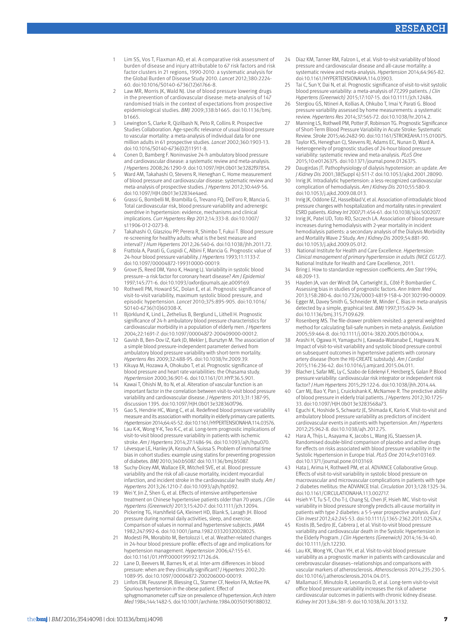- 1 Lim SS, Vos T, Flaxman AD, et al. A comparative risk assessment of burden of disease and injury attributable to 67 risk factors and risk factor clusters in 21 regions, 1990-2010: a systematic analysis for the Global Burden of Disease Study 2010. *Lancet* 2012;380:2224- 60. doi:10.1016/S0140-6736(12)61766-8.
- Law MR, Morris JK, Wald NJ, Use of blood pressure lowering drugs in the prevention of cardiovascular disease: meta-analysis of 147 randomised trials in the context of expectations from prospective epidemiological studies. *BMJ* 2009;338:b1665. doi:10.1136/bmj. b1665.
- 3 Lewington S, Clarke R, Qizilbash N, Peto R, Collins R. Prospective Studies Collaboration. Age-specific relevance of usual blood pressure to vascular mortality: a meta-analysis of individual data for one million adults in 61 prospective studies. *Lancet* 2002;360:1903-13. doi:10.1016/S0140-6736(02)11911-8.
- 4 Conen D, Bamberg F. Noninvasive 24-h ambulatory blood pressure and cardiovascular disease: a systematic review and meta-analysis. *J Hypertens* 2008;26:1290-9. doi:10.1097/HJH.0b013e3282f97854.
- 5 Ward AM, Takahashi O, Stevens R, Heneghan C. Home measurement of blood pressure and cardiovascular disease: systematic review and meta-analysis of prospective studies. *J Hypertens* 2012;30:449-56. doi:10.1097/HJH.0b013e32834e4aed.
- 6 Grassi G, Bombelli M, Brambilla G, Trevano FQ, Dell'oro R, Mancia G. Total cardiovascular risk, blood pressure variability and adrenergic overdrive in hypertension: evidence, mechanisms and clinical implications. *Curr Hypertens Rep* 2012;14:333-8. doi:10.1007/ s11906-012-0273-8.
- 7 Takahashi O, Glasziou PP, Perera R, Shimbo T, Fukui T. Blood pressure re-screening for healthy adults: what is the best measure and interval? *J Hum Hypertens* 2012;26:540-6. doi:10.1038/jhh.2011.72.
- Frattola A, Parati G, Cuspidi C, Albini F, Mancia G. Prognostic value of 24-hour blood pressure variability. *J Hypertens* 1993;11:1133-7. doi:10.1097/00004872-199310000-00019.
- 9 Grove JS, Reed DM, Yano K, Hwang LJ. Variability in systolic blood pressure–a risk factor for coronary heart disease? *Am J Epidemiol* 1997;145:771-6. doi:10.1093/oxfordjournals.aje.a009169.
- 10 Rothwell PM, Howard SC, Dolan E, et al. Prognostic significance of visit-to-visit variability, maximum systolic blood pressure, and episodic hypertension. *Lancet* 2010;375:895-905. doi:10.1016/ S0140-6736(10)60308-X.
- Björklund K, Lind L, Zethelius B, Berglund L, Lithell H. Prognostic significance of 24-h ambulatory blood pressure characteristics for cardiovascular morbidity in a population of elderly men. *J Hypertens* 2004;22:1691-7. doi:10.1097/00004872-200409000-00012.
- 12 Gavish B, Ben-Dov IZ, Kark JD, Mekler J, Bursztyn M. The association of a simple blood pressure-independent parameter derived from ambulatory blood pressure variability with short-term mortality. *Hypertens Res* 2009;32:488-95. doi:10.1038/hr.2009.39.
- 13 Kikuya M, Hozawa A, Ohokubo T, et al. Prognostic significance of blood pressure and heart rate variabilities: the Ohasama study. *Hypertension* 2000;36:901-6. doi:10.1161/01.HYP.36.5.901.
- 14 Kawai T, Ohishi M, Ito N, et al. Alteration of vascular function is an important factor in the correlation between visit-to-visit blood pressure variability and cardiovascular disease. *J Hypertens* 2013;31:1387-95, discussion 1395. doi:10.1097/HJH.0b013e328360f796.
- 15 Gao S, Hendrie HC, Wang C, et al. Redefined blood pressure variability measure and its association with mortality in elderly primary care patients. *Hypertension* 2014;64:45-52. doi:10.1161/HYPERTENSIONAHA.114.03576.
- 16 Lau K-K, Wong Y-K, Teo K-C, et al. Long-term prognostic implications of visit-to-visit blood pressure variability in patients with ischemic stroke. *Am J Hypertens* 2014;27:1486-94. doi:10.1093/ajh/hpu070.
- 17 Lévesque LE, Hanley JA, Kezouh A, Suissa S. Problem of immortal time bias in cohort studies: example using statins for preventing progression of diabetes. *BMJ* 2010;340:b5087. doi:10.1136/bmj.b5087.
- 18 Suchy-Dicey AM, Wallace ER, Mitchell SVE, et al. Blood pressure variability and the risk of all-cause mortality, incident myocardial infarction, and incident stroke in the cardiovascular health study. *Am J Hypertens* 2013;26:1210-7. doi:10.1093/ajh/hpt092.
- 19 Wei Y, Jin Z, Shen G, et al. Effects of intensive antihypertensive treatment on Chinese hypertensive patients older than 70 years. *J Clin Hypertens (Greenwich)* 2013;15:420-7. doi:10.1111/jch.12094.
- 20 Pickering TG, Harshfield GA, Kleinert HD, Blank S, Laragh JH. Blood pressure during normal daily activities, sleep, and exercise. Comparison of values in normal and hypertensive subjects. *JAMA* 1982;247:992-6. doi:10.1001/jama.1982.03320320028025.
- Modesti PA, Morabito M, Bertolozzi I, et al. Weather-related changes in 24-hour blood pressure profile: effects of age and implications for hypertension management. *Hypertension* 2006;47:155-61. doi:10.1161/01.HYP.0000199192.17126.d4.
- Lane D, Beevers M, Barnes N, et al. Inter-arm differences in blood pressure: when are they clinically significant? *J Hypertens* 2002;20: 1089-95. doi:10.1097/00004872-200206000-00019.
- 23 Linfors EW, Feussner JR, Blessing CL, Starmer CF, Neelon FA, McKee PA. Spurious hypertension in the obese patient. Effect of sphygmomanometer cuff size on prevalence of hypertension. *Arch Intern Med* 1984;144:1482-5. doi:10.1001/archinte.1984.00350190188032.
- 24 Diaz KM, Tanner RM, Falzon L, et al. Visit-to-visit variability of blood pressure and cardiovascular disease and all-cause mortality: a systematic review and meta-analysis. *Hypertension* 2014;64:965-82. doi:10.1161/HYPERTENSIONAHA.114.03903.
- 25 Tai C, Sun Y, Dai N, et al. Prognostic significance of visit-to-visit systolic blood pressure variability: a meta-analysis of 77,299 patients. *J Clin Hypertens (Greenwich)* 2015;17:107-15. doi:10.1111/jch.12484.
- 26 Stergiou GS, Ntineri A, Kollias A, Ohkubo T, Imai Y, Parati G. Blood pressure variability assessed by home measurements: a systematic review. *Hypertens Res* 2014;37:565-72. doi:10.1038/hr.2014.2.
- 27 Manning LS, Rothwell PM, Potter JF, Robinson TG. Prognostic Significance of Short-Term Blood Pressure Variability in Acute Stroke: Systematic Review. *Stroke* 2015;46:2482-90. doi:10.1161/STROKEAHA.115.010075.
- 28 Taylor KS, Heneghan CJ, Stevens RJ, Adams EC, Nunan D, Ward A. Heterogeneity of prognostic studies of 24-hour blood pressure variability: systematic review and meta-analysis. *PLoS One* 2015;10:e0126375. doi:10.1371/journal.pone.0126375.
- 29 Daugirdas JT. Pathophysiology of dialysis hypotension: an update. *Am J Kidney Dis* 2001;38(Suppl 4):S11-7. doi:10.1053/ajkd.2001.28090.
- 30 Inrig JK. Intradialytic hypertension: a less-recognized cardiovascular complication of hemodialysis. *Am J Kidney Dis* 2010;55:580-9. doi:10.1053/j.ajkd.2009.08.013.
- 31 Inrig JK, Oddone EZ, Hasselblad V, et al. Association of intradialytic blood pressure changes with hospitalization and mortality rates in prevalent ESRD patients. *Kidney Int* 2007;71:454-61. doi:10.1038/sj.ki.5002077.
- 32 Inrig JK, Patel UD, Toto RD, Szczech LA. Association of blood pressure increases during hemodialysis with 2-year mortality in incident hemodialysis patients: a secondary analysis of the Dialysis Morbidity and Mortality Wave 2 Study. *Am J Kidney Dis* 2009;54:881-90. doi:10.1053/j.ajkd.2009.05.012.
- 33 National Institute for Health and Care Excellence. *Hypertension: Clinical management of primary hypertension in adults (NICE CG127).* National Institute for Health and Care Excellence, 2011.
- 34 Bring J. How to standardize regression coefficients. *Am Stat* 1994; 48:209-13.
- 35 Hayden JA, van der Windt DA, Cartwright JL, Côté P, Bombardier C. Assessing bias in studies of prognostic factors. *Ann Intern Med* 2013;158:280-6. doi:10.7326/0003-4819-158-4-201302190-00009.
- 36 Egger M, Davey Smith G, Schneider M, Minder C. Bias in meta-analysis detected by a simple, graphical test. *BMJ* 1997;315:629-34. doi:10.1136/bmj.315.7109.629.
- 37 Rosenberg MS. The file-drawer problem revisited: a general weighted method for calculating fail-safe numbers in meta-analysis. *Evolution* 2005;59:464-8. doi:10.1111/j.0014-3820.2005.tb01004.x.
- 38 Arashi H, Ogawa H, Yamaguchi J, Kawada-Watanabe E, Hagiwara N. Impact of visit-to-visit variability and systolic blood pressure control on subsequent outcomes in hypertensive patients with coronary artery disease (from the HIJ-CREATE substudy). *Am J Cardiol* 2015;116:236-42. doi:10.1016/j.amjcard.2015.04.011.
- 39 Blacher J, Safar ME, Ly C, Szabo de Edelenyi F, Hercberg S, Galan P. Blood pressure variability: cardiovascular risk integrator or independent risk factor? *J Hum Hypertens* 2015;29:122-6. doi:10.1038/jhh.2014.44.
- 40 Carr MJ, Bao Y, Pan J, Cruickshank K, McNamee R. The predictive ability of blood pressure in elderly trial patients. *J Hypertens* 2012;30:1725- 33. doi:10.1097/HJH.0b013e3283568a73.
- 41 Eguchi K, Hoshide S, Schwartz JE, Shimada K, Kario K. Visit-to-visit and ambulatory blood pressure variability as predictors of incident cardiovascular events in patients with hypertension. *Am J Hypertens* 2012;25:962-8. doi:10.1038/ajh.2012.75.
- 42 Hara A, Thijs L, Asayama K, Jacobs L, Wang JG, Staessen JA. Randomised double-blind comparison of placebo and active drugs for effects on risks associated with blood pressure variability in the Systolic Hypertension in Europe trial. *PLoS One* 2014;9:e103169. doi:10.1371/journal.pone.0103169.
- 43 Hata J, Arima H, Rothwell PM, et al. ADVANCE Collaborative Group. Effects of visit-to-visit variability in systolic blood pressure on macrovascular and microvascular complications in patients with type 2 diabetes mellitus: the ADVANCE trial. *Circulation* 2013;128:1325-34. doi:10.1161/CIRCULATIONAHA.113.002717.
- 44 Hsieh Y-T, Tu S-T, Cho T-J, Chang SJ, Chen JF, Hsieh MC. Visit-to-visit variability in blood pressure strongly predicts all-cause mortality in patients with type 2 diabetes: a 5⋅5-year prospective analysis. *Eur J Clin Invest* 2012;42:245-53. doi:10.1111/j.1365-2362.2011.02574.x.
- Kostis JB, Sedjro JE, Cabrera J, et al. Visit-to-visit blood pressure variability and cardiovascular death in the Systolic Hypertension in the Elderly Program. *J Clin Hypertens (Greenwich)* 2014;16:34-40. doi:10.1111/jch.12230.
- Lau KK, Wong YK, Chan YH, et al. Visit-to-visit blood pressure variability as a prognostic marker in patients with cardiovascular and cerebrovascular diseases–relationships and comparisons with vascular markers of atherosclerosis. *Atherosclerosis* 2014;235:230-5. doi:10.1016/j.atherosclerosis.2014.04.015.
- 47 Mallamaci F, Minutolo R, Leonardis D, et al. Long-term visit-to-visit office blood pressure variability increases the risk of adverse cardiovascular outcomes in patients with chronic kidney disease. *Kidney Int* 2013;84:381-9. doi:10.1038/ki.2013.132.